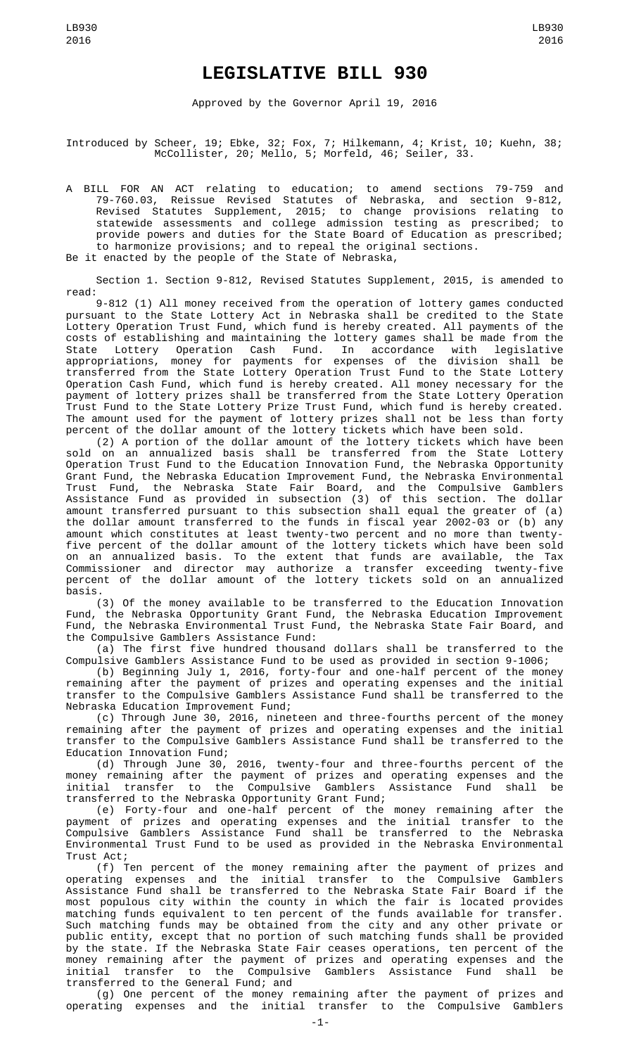## **LEGISLATIVE BILL 930**

Approved by the Governor April 19, 2016

Introduced by Scheer, 19; Ebke, 32; Fox, 7; Hilkemann, 4; Krist, 10; Kuehn, 38; McCollister, 20; Mello, 5; Morfeld, 46; Seiler, 33.

A BILL FOR AN ACT relating to education; to amend sections 79-759 and 79-760.03, Reissue Revised Statutes of Nebraska, and section 9-812, Revised Statutes Supplement, 2015; to change provisions relating to statewide assessments and college admission testing as prescribed; to provide powers and duties for the State Board of Education as prescribed; to harmonize provisions; and to repeal the original sections.

Be it enacted by the people of the State of Nebraska,

Section 1. Section 9-812, Revised Statutes Supplement, 2015, is amended to read:

9-812 (1) All money received from the operation of lottery games conducted pursuant to the State Lottery Act in Nebraska shall be credited to the State Lottery Operation Trust Fund, which fund is hereby created. All payments of the costs of establishing and maintaining the lottery games shall be made from the State Lottery Operation Cash Fund. In accordance with legislative appropriations, money for payments for expenses of the division shall be transferred from the State Lottery Operation Trust Fund to the State Lottery Operation Cash Fund, which fund is hereby created. All money necessary for the payment of lottery prizes shall be transferred from the State Lottery Operation Trust Fund to the State Lottery Prize Trust Fund, which fund is hereby created. The amount used for the payment of lottery prizes shall not be less than forty percent of the dollar amount of the lottery tickets which have been sold.

(2) A portion of the dollar amount of the lottery tickets which have been sold on an annualized basis shall be transferred from the State Lottery Operation Trust Fund to the Education Innovation Fund, the Nebraska Opportunity Grant Fund, the Nebraska Education Improvement Fund, the Nebraska Environmental Trust Fund, the Nebraska State Fair Board, and the Compulsive Gamblers Assistance Fund as provided in subsection (3) of this section. The dollar amount transferred pursuant to this subsection shall equal the greater of (a) the dollar amount transferred to the funds in fiscal year 2002-03 or (b) any amount which constitutes at least twenty-two percent and no more than twentyfive percent of the dollar amount of the lottery tickets which have been sold on an annualized basis. To the extent that funds are available, the Tax Commissioner and director may authorize a transfer exceeding twenty-five percent of the dollar amount of the lottery tickets sold on an annualized basis.

(3) Of the money available to be transferred to the Education Innovation Fund, the Nebraska Opportunity Grant Fund, the Nebraska Education Improvement Fund, the Nebraska Environmental Trust Fund, the Nebraska State Fair Board, and the Compulsive Gamblers Assistance Fund:

(a) The first five hundred thousand dollars shall be transferred to the Compulsive Gamblers Assistance Fund to be used as provided in section 9-1006;

(b) Beginning July 1, 2016, forty-four and one-half percent of the money remaining after the payment of prizes and operating expenses and the initial transfer to the Compulsive Gamblers Assistance Fund shall be transferred to the Nebraska Education Improvement Fund;

(c) Through June 30, 2016, nineteen and three-fourths percent of the money remaining after the payment of prizes and operating expenses and the initial transfer to the Compulsive Gamblers Assistance Fund shall be transferred to the Education Innovation Fund;

(d) Through June 30, 2016, twenty-four and three-fourths percent of the money remaining after the payment of prizes and operating expenses and the initial transfer to the Compulsive Gamblers Assistance Fund shall be transferred to the Nebraska Opportunity Grant Fund;

(e) Forty-four and one-half percent of the money remaining after the payment of prizes and operating expenses and the initial transfer to the Compulsive Gamblers Assistance Fund shall be transferred to the Nebraska Environmental Trust Fund to be used as provided in the Nebraska Environmental Trust Act;

(f) Ten percent of the money remaining after the payment of prizes and operating expenses and the initial transfer to the Compulsive Gamblers Assistance Fund shall be transferred to the Nebraska State Fair Board if the most populous city within the county in which the fair is located provides matching funds equivalent to ten percent of the funds available for transfer. Such matching funds may be obtained from the city and any other private or public entity, except that no portion of such matching funds shall be provided by the state. If the Nebraska State Fair ceases operations, ten percent of the money remaining after the payment of prizes and operating expenses and the initial transfer to the Compulsive Gamblers Assistance Fund shall be transferred to the General Fund; and

(g) One percent of the money remaining after the payment of prizes and operating expenses and the initial transfer to the Compulsive Gamblers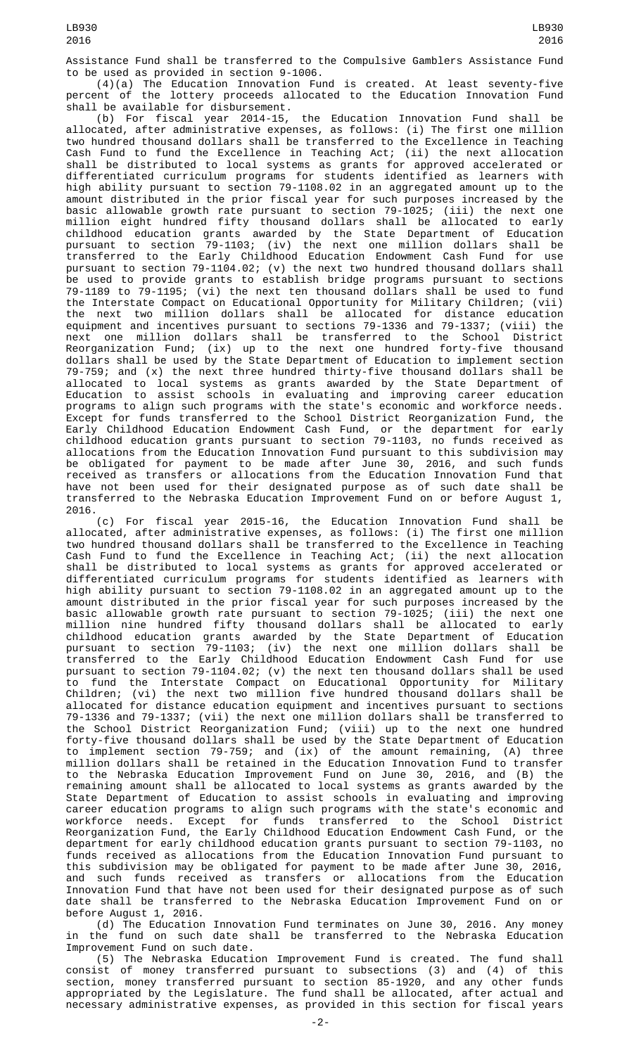Assistance Fund shall be transferred to the Compulsive Gamblers Assistance Fund to be used as provided in section 9-1006.

(4)(a) The Education Innovation Fund is created. At least seventy-five percent of the lottery proceeds allocated to the Education Innovation Fund

shall be available for disbursement.<br>(b) For fiscal year 2014-15, the Education Innovation Fund shall be allocated, after administrative expenses, as follows: (i) The first one million two hundred thousand dollars shall be transferred to the Excellence in Teaching Cash Fund to fund the Excellence in Teaching Act; (ii) the next allocation shall be distributed to local systems as grants for approved accelerated or differentiated curriculum programs for students identified as learners with high ability pursuant to section 79-1108.02 in an aggregated amount up to the amount distributed in the prior fiscal year for such purposes increased by the basic allowable growth rate pursuant to section 79-1025; (iii) the next one million eight hundred fifty thousand dollars shall be allocated to early childhood education grants awarded by the State Department of Education pursuant to section 79-1103; (iv) the next one million dollars shall be transferred to the Early Childhood Education Endowment Cash Fund for use pursuant to section 79-1104.02; (v) the next two hundred thousand dollars shall be used to provide grants to establish bridge programs pursuant to sections 79-1189 to 79-1195; (vi) the next ten thousand dollars shall be used to fund the Interstate Compact on Educational Opportunity for Military Children; (vii) the next two million dollars shall be allocated for distance education equipment and incentives pursuant to sections 79-1336 and 79-1337; (viii) the next one million dollars shall be transferred to the School District Reorganization Fund; (ix) up to the next one hundred forty-five thousand dollars shall be used by the State Department of Education to implement section 79-759; and (x) the next three hundred thirty-five thousand dollars shall be allocated to local systems as grants awarded by the State Department of Education to assist schools in evaluating and improving career education programs to align such programs with the state's economic and workforce needs. Except for funds transferred to the School District Reorganization Fund, the Early Childhood Education Endowment Cash Fund, or the department for early childhood education grants pursuant to section 79-1103, no funds received as allocations from the Education Innovation Fund pursuant to this subdivision may be obligated for payment to be made after June 30, 2016, and such funds received as transfers or allocations from the Education Innovation Fund that have not been used for their designated purpose as of such date shall be transferred to the Nebraska Education Improvement Fund on or before August 1, 2016.

(c) For fiscal year 2015-16, the Education Innovation Fund shall be allocated, after administrative expenses, as follows: (i) The first one million two hundred thousand dollars shall be transferred to the Excellence in Teaching Cash Fund to fund the Excellence in Teaching Act; (ii) the next allocation shall be distributed to local systems as grants for approved accelerated or differentiated curriculum programs for students identified as learners with high ability pursuant to section 79-1108.02 in an aggregated amount up to the amount distributed in the prior fiscal year for such purposes increased by the basic allowable growth rate pursuant to section 79-1025; (iii) the next one million nine hundred fifty thousand dollars shall be allocated to early childhood education grants awarded by the State Department of Education pursuant to section 79-1103; (iv) the next one million dollars shall be transferred to the Early Childhood Education Endowment Cash Fund for use pursuant to section 79-1104.02; (v) the next ten thousand dollars shall be used to fund the Interstate Compact on Educational Opportunity for Military Children; (vi) the next two million five hundred thousand dollars shall be allocated for distance education equipment and incentives pursuant to sections 79-1336 and 79-1337; (vii) the next one million dollars shall be transferred to the School District Reorganization Fund; (viii) up to the next one hundred forty-five thousand dollars shall be used by the State Department of Education to implement section 79-759; and (ix) of the amount remaining, (A) three million dollars shall be retained in the Education Innovation Fund to transfer to the Nebraska Education Improvement Fund on June 30, 2016, and (B) the remaining amount shall be allocated to local systems as grants awarded by the State Department of Education to assist schools in evaluating and improving career education programs to align such programs with the state's economic and workforce needs. Except for funds transferred to the School District Reorganization Fund, the Early Childhood Education Endowment Cash Fund, or the department for early childhood education grants pursuant to section 79-1103, no funds received as allocations from the Education Innovation Fund pursuant to this subdivision may be obligated for payment to be made after June 30, 2016, and such funds received as transfers or allocations from the Education Innovation Fund that have not been used for their designated purpose as of such date shall be transferred to the Nebraska Education Improvement Fund on or before August 1, 2016.

(d) The Education Innovation Fund terminates on June 30, 2016. Any money in the fund on such date shall be transferred to the Nebraska Education Improvement Fund on such date.

(5) The Nebraska Education Improvement Fund is created. The fund shall consist of money transferred pursuant to subsections (3) and (4) of this section, money transferred pursuant to section 85-1920, and any other funds appropriated by the Legislature. The fund shall be allocated, after actual and necessary administrative expenses, as provided in this section for fiscal years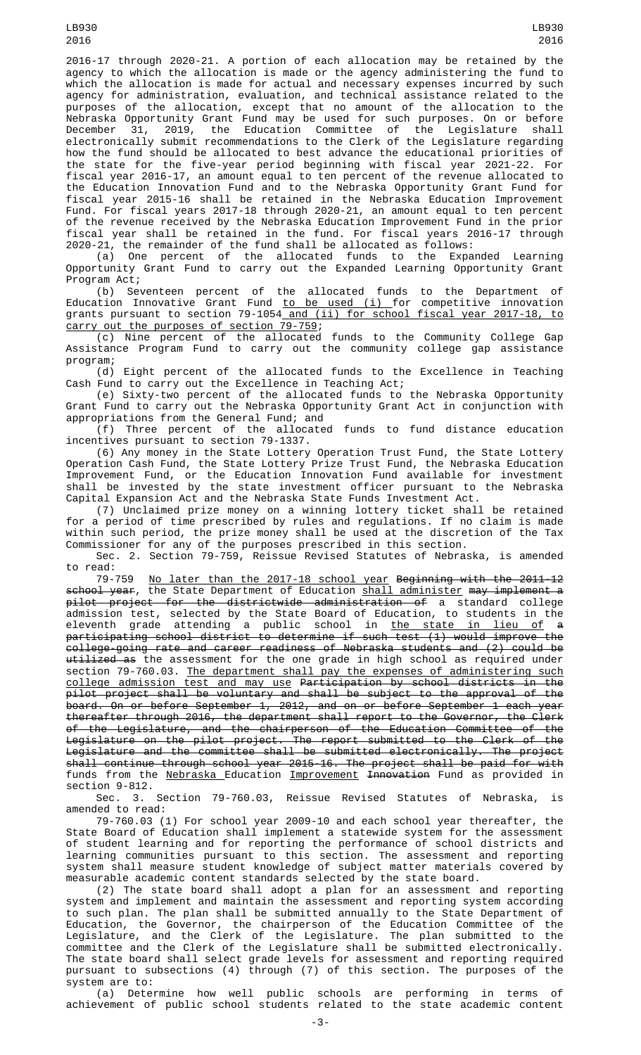2016-17 through 2020-21. A portion of each allocation may be retained by the agency to which the allocation is made or the agency administering the fund to which the allocation is made for actual and necessary expenses incurred by such agency for administration, evaluation, and technical assistance related to the purposes of the allocation, except that no amount of the allocation to the Nebraska Opportunity Grant Fund may be used for such purposes. On or before December 31, 2019, the Education Committee of the Legislature shall electronically submit recommendations to the Clerk of the Legislature regarding how the fund should be allocated to best advance the educational priorities of the state for the five-year period beginning with fiscal year 2021-22. For fiscal year 2016-17, an amount equal to ten percent of the revenue allocated to the Education Innovation Fund and to the Nebraska Opportunity Grant Fund for fiscal year 2015-16 shall be retained in the Nebraska Education Improvement Fund. For fiscal years 2017-18 through 2020-21, an amount equal to ten percent of the revenue received by the Nebraska Education Improvement Fund in the prior fiscal year shall be retained in the fund. For fiscal years 2016-17 through

2020-21, the remainder of the fund shall be allocated as follows: (a) One percent of the allocated funds to the Expanded Learning Opportunity Grant Fund to carry out the Expanded Learning Opportunity Grant Program Act;

(b) Seventeen percent of the allocated funds to the Department of Education Innovative Grant Fund <u>to be used (i) </u>for competitive innovation grants pursuant to section 79-1054<u> and (ii) for school fiscal year 2017-18, to</u> carry out the purposes of section 79-759;

(c) Nine percent of the allocated funds to the Community College Gap Assistance Program Fund to carry out the community college gap assistance program;

....,<br>(d) Eight percent of the allocated funds to the Excellence in Teaching Cash Fund to carry out the Excellence in Teaching Act;

(e) Sixty-two percent of the allocated funds to the Nebraska Opportunity Grant Fund to carry out the Nebraska Opportunity Grant Act in conjunction with appropriations from the General Fund; and

(f) Three percent of the allocated funds to fund distance education incentives pursuant to section 79-1337.

(6) Any money in the State Lottery Operation Trust Fund, the State Lottery Operation Cash Fund, the State Lottery Prize Trust Fund, the Nebraska Education Improvement Fund, or the Education Innovation Fund available for investment shall be invested by the state investment officer pursuant to the Nebraska Capital Expansion Act and the Nebraska State Funds Investment Act.

(7) Unclaimed prize money on a winning lottery ticket shall be retained for a period of time prescribed by rules and regulations. If no claim is made within such period, the prize money shall be used at the discretion of the Tax Commissioner for any of the purposes prescribed in this section.

Sec. 2. Section 79-759, Reissue Revised Statutes of Nebraska, is amended to read:<br>79-759

79-759 No later than the 2017-18 school year Beginning with the 2011-12 <del>school year</del>, the State Department of Education <u>shall administer</u> <del>may implement a</del> pilot project for the districtwide administration of a standard college admission test, selected by the State Board of Education, to students in the eleventh grade attending a public school in <u>the state in lieu of</u> <del>a</del> participating school district to determine if such test (1) would improve the college-going rate and career readiness of Nebraska students and (2) could be <del>utilized as</del> the assessment for the one grade in high school as required under section 79-760.03. The department shall pay the expenses of administering such college admission test and may use Participation by school districts in the pilot project shall be voluntary and shall be subject to the approval of the board. On or before September 1, 2012, and on or before September 1 each year thereafter through 2016, the department shall report to the Governor, the Clerk of the Legislature, and the chairperson of the Education Committee of the Legislature on the pilot project. The report submitted to the Clerk of the Legislature and the committee shall be submitted electronically. The project shall continue through school year 2015-16. The project shall be paid for with funds from the Nebraska Education Improvement Innovation Fund as provided in section 9-812.

Sec. 3. Section 79-760.03, Reissue Revised Statutes of Nebraska, amended to read:

79-760.03 (1) For school year 2009-10 and each school year thereafter, the State Board of Education shall implement a statewide system for the assessment of student learning and for reporting the performance of school districts and learning communities pursuant to this section. The assessment and reporting system shall measure student knowledge of subject matter materials covered by measurable academic content standards selected by the state board.

(2) The state board shall adopt a plan for an assessment and reporting system and implement and maintain the assessment and reporting system according to such plan. The plan shall be submitted annually to the State Department of Education, the Governor, the chairperson of the Education Committee of the Legislature, and the Clerk of the Legislature. The plan submitted to the committee and the Clerk of the Legislature shall be submitted electronically. The state board shall select grade levels for assessment and reporting required pursuant to subsections (4) through (7) of this section. The purposes of the system are to:

(a) Determine how well public schools are performing in terms of achievement of public school students related to the state academic content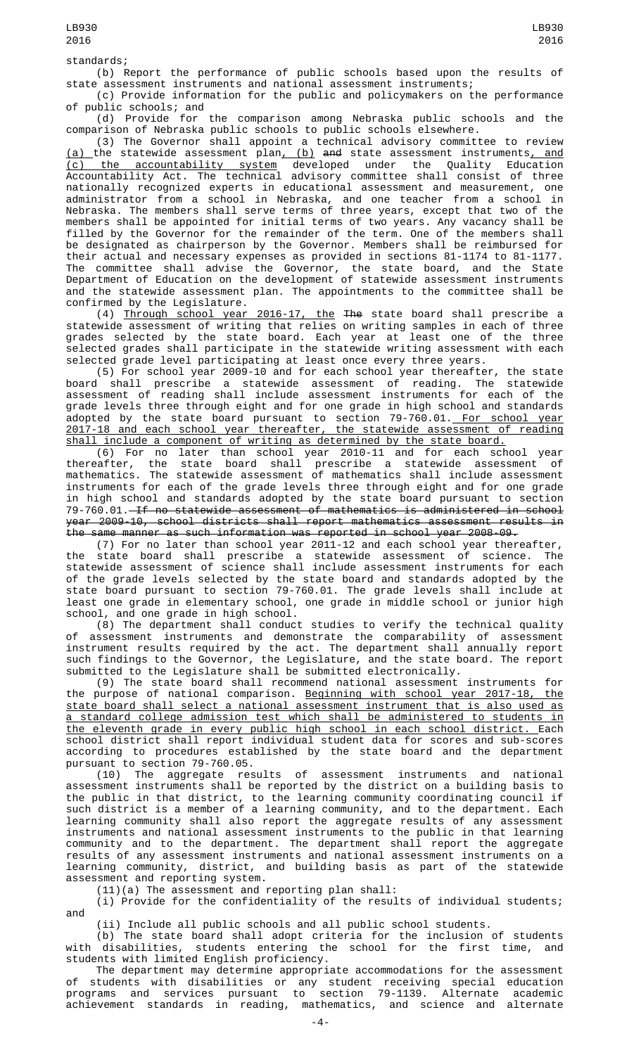standards;

(b) Report the performance of public schools based upon the results of state assessment instruments and national assessment instruments;

(c) Provide information for the public and policymakers on the performance of public schools; and

(d) Provide for the comparison among Nebraska public schools and the comparison of Nebraska public schools to public schools elsewhere.

(3) The Governor shall appoint a technical advisory committee to review <u>(a) </u>the statewide assessment plan<u>, (b)</u> <del>and</del> state assessment instruments<u>, and</u> (c) the accountability system developed under the Quality Education Accountability Act. The technical advisory committee shall consist of three nationally recognized experts in educational assessment and measurement, one administrator from a school in Nebraska, and one teacher from a school in Nebraska. The members shall serve terms of three years, except that two of the members shall be appointed for initial terms of two years. Any vacancy shall be filled by the Governor for the remainder of the term. One of the members shall be designated as chairperson by the Governor. Members shall be reimbursed for their actual and necessary expenses as provided in sections 81-1174 to 81-1177. The committee shall advise the Governor, the state board, and the State Department of Education on the development of statewide assessment instruments and the statewide assessment plan. The appointments to the committee shall be confirmed by the Legislature.

(4) Through school year 2016-17, the The state board shall prescribe a statewide assessment of writing that relies on writing samples in each of three grades selected by the state board. Each year at least one of the three selected grades shall participate in the statewide writing assessment with each selected grade level participating at least once every three years.

(5) For school year 2009-10 and for each school year thereafter, the state board shall prescribe a statewide assessment of reading. The statewide assessment of reading shall include assessment instruments for each of the grade levels three through eight and for one grade in high school and standards adopted by the state board pursuant to section 79-760.01.<u> For school year</u> 2017-18 and each school year thereafter, the statewide assessment of reading shall include a component of writing as determined by the state board.

(6) For no later than school year 2010-11 and for each school year thereafter, the state board shall prescribe a statewide assessment of mathematics. The statewide assessment of mathematics shall include assessment instruments for each of the grade levels three through eight and for one grade in high school and standards adopted by the state board pursuant to section 79-760.01. If no statewide assessment of mathematics is administered in school year 2009-10, school districts shall report mathematics assessment results in the same manner as such information was reported in school year 2008-09.

(7) For no later than school year 2011-12 and each school year thereafter, the state board shall prescribe a statewide assessment of science. The statewide assessment of science shall include assessment instruments for each of the grade levels selected by the state board and standards adopted by the state board pursuant to section 79-760.01. The grade levels shall include at least one grade in elementary school, one grade in middle school or junior high school, and one grade in high school.

(8) The department shall conduct studies to verify the technical quality of assessment instruments and demonstrate the comparability of assessment instrument results required by the act. The department shall annually report such findings to the Governor, the Legislature, and the state board. The report submitted to the Legislature shall be submitted electronically.

(9) The state board shall recommend national assessment instruments for the purpose of national comparison. Beginning with school year 2017-18, the state board shall select a national assessment instrument that is also used as a standard college admission test which shall be administered to students in the eleventh grade in every public high school in each school district. Each school district shall report individual student data for scores and sub-scores according to procedures established by the state board and the department pursuant to section 79-760.05.<br>(10) The aggregate results of

assessment instruments and national assessment instruments shall be reported by the district on a building basis to the public in that district, to the learning community coordinating council if such district is a member of a learning community, and to the department. Each learning community shall also report the aggregate results of any assessment instruments and national assessment instruments to the public in that learning community and to the department. The department shall report the aggregate results of any assessment instruments and national assessment instruments on a learning community, district, and building basis as part of the statewide assessment and reporting system.

(11)(a) The assessment and reporting plan shall:

(i) Provide for the confidentiality of the results of individual students; and

(ii) Include all public schools and all public school students.

(b) The state board shall adopt criteria for the inclusion of students with disabilities, students entering the school for the first time, and students with limited English proficiency.

The department may determine appropriate accommodations for the assessment of students with disabilities or any student receiving special education programs and services pursuant to section 79-1139. Alternate academic achievement standards in reading, mathematics, and science and alternate